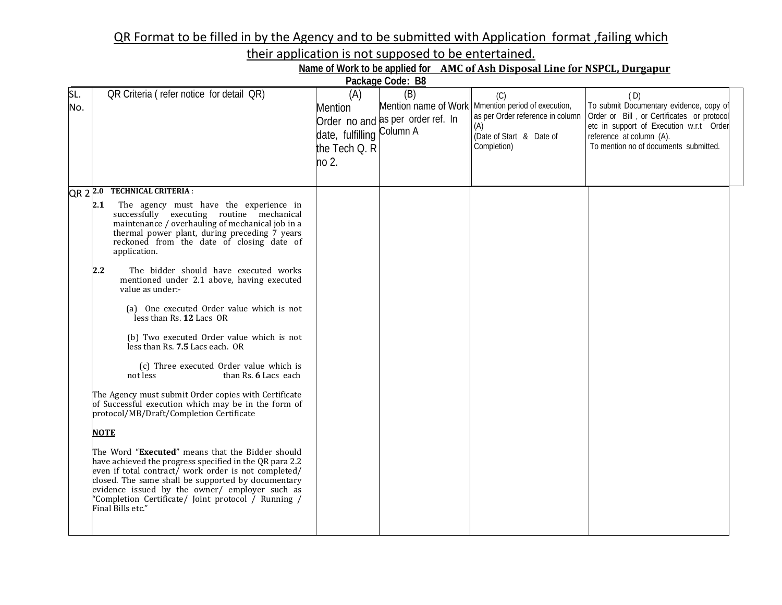## QR Format to be filled in by the Agency and to be submitted with Application format ,failing which

their application is not supposed to be entertained.

| Name of Work to be applied for AMC of Ash Disposal Line for NSPCL, Durgapur |  |  |  |
|-----------------------------------------------------------------------------|--|--|--|
|                                                                             |  |  |  |

| Package Code: B8 |                                                                                                                                                                                                                                                                                                                                                         |                                                                              |                                          |                                                                                                                                                 |                                                                                                                                                                                                              |  |  |
|------------------|---------------------------------------------------------------------------------------------------------------------------------------------------------------------------------------------------------------------------------------------------------------------------------------------------------------------------------------------------------|------------------------------------------------------------------------------|------------------------------------------|-------------------------------------------------------------------------------------------------------------------------------------------------|--------------------------------------------------------------------------------------------------------------------------------------------------------------------------------------------------------------|--|--|
| SL.<br>No.       | OR Criteria (refer notice for detail QR)                                                                                                                                                                                                                                                                                                                | (A)<br><b>Mention</b><br>date, fulfilling Column A<br>the Tech Q. R<br>no 2. | (B)<br>Order no and as per order ref. In | (C)<br>Mention name of Work Mmention period of execution,<br>as per Order reference in column<br>(A)<br>(Date of Start & Date of<br>Completion) | (D)<br>To submit Documentary evidence, copy of<br>Order or Bill, or Certificates or protocol<br>etc in support of Execution w.r.t Order<br>reference at column (A).<br>To mention no of documents submitted. |  |  |
| $QR 2^{2.0}$     | <b>TECHNICAL CRITERIA:</b>                                                                                                                                                                                                                                                                                                                              |                                                                              |                                          |                                                                                                                                                 |                                                                                                                                                                                                              |  |  |
|                  | 2.1<br>The agency must have the experience in<br>successfully executing routine mechanical<br>maintenance / overhauling of mechanical job in a<br>thermal power plant, during preceding 7 years<br>reckoned from the date of closing date of<br>application.                                                                                            |                                                                              |                                          |                                                                                                                                                 |                                                                                                                                                                                                              |  |  |
|                  | 2.2<br>The bidder should have executed works<br>mentioned under 2.1 above, having executed<br>value as under:-                                                                                                                                                                                                                                          |                                                                              |                                          |                                                                                                                                                 |                                                                                                                                                                                                              |  |  |
|                  | (a) One executed Order value which is not<br>less than Rs. 12 Lacs OR                                                                                                                                                                                                                                                                                   |                                                                              |                                          |                                                                                                                                                 |                                                                                                                                                                                                              |  |  |
|                  | (b) Two executed Order value which is not<br>less than Rs. 7.5 Lacs each. OR                                                                                                                                                                                                                                                                            |                                                                              |                                          |                                                                                                                                                 |                                                                                                                                                                                                              |  |  |
|                  | (c) Three executed Order value which is<br>than Rs. 6 Lacs each<br>not less                                                                                                                                                                                                                                                                             |                                                                              |                                          |                                                                                                                                                 |                                                                                                                                                                                                              |  |  |
|                  | The Agency must submit Order copies with Certificate<br>of Successful execution which may be in the form of<br>protocol/MB/Draft/Completion Certificate                                                                                                                                                                                                 |                                                                              |                                          |                                                                                                                                                 |                                                                                                                                                                                                              |  |  |
|                  | <b>NOTE</b>                                                                                                                                                                                                                                                                                                                                             |                                                                              |                                          |                                                                                                                                                 |                                                                                                                                                                                                              |  |  |
|                  | The Word "Executed" means that the Bidder should<br>have achieved the progress specified in the QR para 2.2<br>even if total contract/ work order is not completed/<br>closed. The same shall be supported by documentary<br>evidence issued by the owner/ employer such as<br>"Completion Certificate/ Joint protocol / Running /<br>Final Bills etc." |                                                                              |                                          |                                                                                                                                                 |                                                                                                                                                                                                              |  |  |